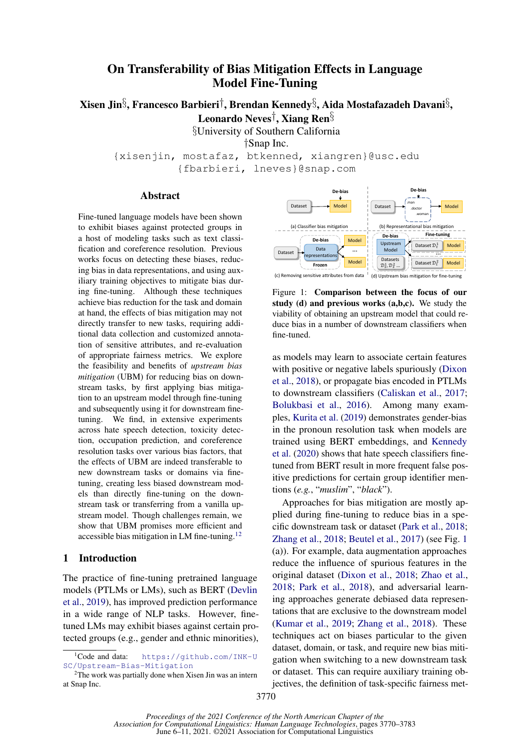# On Transferability of Bias Mitigation Effects in Language Model Fine-Tuning

Xisen Jin $\S$ , Francesco Barbieri $\dagger$ , Brendan Kennedy $\S$ , Aida Mostafazadeh Davani $\S$ ,

Leonardo Neves†, Xiang Ren§

§University of Southern California

†Snap Inc.

{xisenjin, mostafaz, btkenned, xiangren}@usc.edu {fbarbieri, lneves}@snap.com

#### Abstract

Fine-tuned language models have been shown to exhibit biases against protected groups in a host of modeling tasks such as text classification and coreference resolution. Previous works focus on detecting these biases, reducing bias in data representations, and using auxiliary training objectives to mitigate bias during fine-tuning. Although these techniques achieve bias reduction for the task and domain at hand, the effects of bias mitigation may not directly transfer to new tasks, requiring additional data collection and customized annotation of sensitive attributes, and re-evaluation of appropriate fairness metrics. We explore the feasibility and benefits of *upstream bias mitigation* (UBM) for reducing bias on downstream tasks, by first applying bias mitigation to an upstream model through fine-tuning and subsequently using it for downstream finetuning. We find, in extensive experiments across hate speech detection, toxicity detection, occupation prediction, and coreference resolution tasks over various bias factors, that the effects of UBM are indeed transferable to new downstream tasks or domains via finetuning, creating less biased downstream models than directly fine-tuning on the downstream task or transferring from a vanilla upstream model. Though challenges remain, we show that UBM promises more efficient and accessible bias mitigation in LM fine-tuning. $12$  $12$ 

#### 1 Introduction

The practice of fine-tuning pretrained language models (PTLMs or LMs), such as BERT [\(Devlin](#page-8-0) [et al.,](#page-8-0) [2019\)](#page-8-0), has improved prediction performance in a wide range of NLP tasks. However, finetuned LMs may exhibit biases against certain protected groups (e.g., gender and ethnic minorities),

<span id="page-0-2"></span>

Figure 1: Comparison between the focus of our study (d) and previous works (a,b,c). We study the viability of obtaining an upstream model that could reduce bias in a number of downstream classifiers when fine-tuned.

as models may learn to associate certain features with positive or negative labels spuriously [\(Dixon](#page-8-1) [et al.,](#page-8-1) [2018\)](#page-8-1), or propagate bias encoded in PTLMs to downstream classifiers [\(Caliskan et al.,](#page-8-2) [2017;](#page-8-2) [Bolukbasi et al.,](#page-8-3) [2016\)](#page-8-3). Among many examples, [Kurita et al.](#page-9-0) [\(2019\)](#page-9-0) demonstrates gender-bias in the pronoun resolution task when models are trained using BERT embeddings, and [Kennedy](#page-9-1) [et al.](#page-9-1) [\(2020\)](#page-9-1) shows that hate speech classifiers finetuned from BERT result in more frequent false positive predictions for certain group identifier mentions (*e.g.*, "*muslim*", "*black*").

Approaches for bias mitigation are mostly applied during fine-tuning to reduce bias in a specific downstream task or dataset [\(Park et al.,](#page-9-2) [2018;](#page-9-2) [Zhang et al.,](#page-10-0) [2018;](#page-10-0) [Beutel et al.,](#page-8-4) [2017\)](#page-8-4) (see Fig. [1](#page-0-2) (a)). For example, data augmentation approaches reduce the influence of spurious features in the original dataset [\(Dixon et al.,](#page-8-1) [2018;](#page-8-1) [Zhao et al.,](#page-10-1) [2018;](#page-10-1) [Park et al.,](#page-9-2) [2018\)](#page-9-2), and adversarial learning approaches generate debiased data representations that are exclusive to the downstream model [\(Kumar et al.,](#page-9-3) [2019;](#page-9-3) [Zhang et al.,](#page-10-0) [2018\)](#page-10-0). These techniques act on biases particular to the given dataset, domain, or task, and require new bias mitigation when switching to a new downstream task or dataset. This can require auxiliary training objectives, the definition of task-specific fairness met-

<span id="page-0-0"></span><sup>&</sup>lt;sup>1</sup>Code and data: [https://github.com/INK-U](https://github.com/INK-USC/Upstream-Bias-Mitigation) [SC/Upstream-Bias-Mitigation](https://github.com/INK-USC/Upstream-Bias-Mitigation)

<span id="page-0-1"></span> $2$ The work was partially done when Xisen Jin was an intern at Snap Inc.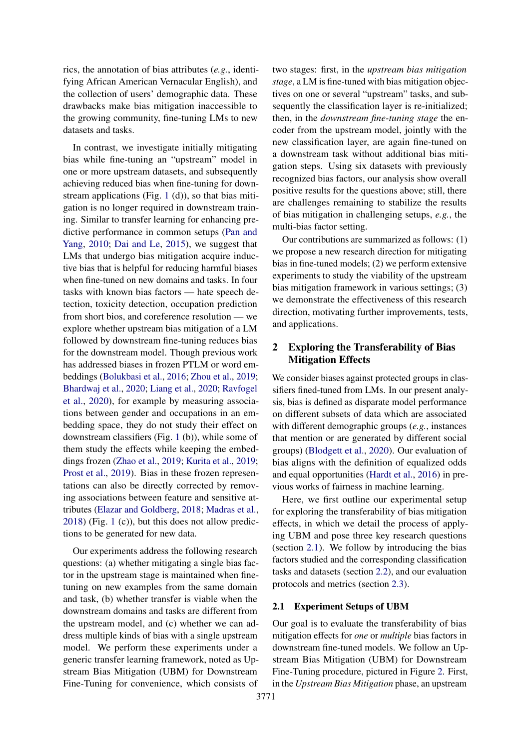rics, the annotation of bias attributes (*e.g.*, identifying African American Vernacular English), and the collection of users' demographic data. These drawbacks make bias mitigation inaccessible to the growing community, fine-tuning LMs to new datasets and tasks.

In contrast, we investigate initially mitigating bias while fine-tuning an "upstream" model in one or more upstream datasets, and subsequently achieving reduced bias when fine-tuning for downstream applications (Fig. [1](#page-0-2) (d)), so that bias mitigation is no longer required in downstream training. Similar to transfer learning for enhancing predictive performance in common setups [\(Pan and](#page-9-4) [Yang,](#page-9-4) [2010;](#page-9-4) [Dai and Le,](#page-8-5) [2015\)](#page-8-5), we suggest that LMs that undergo bias mitigation acquire inductive bias that is helpful for reducing harmful biases when fine-tuned on new domains and tasks. In four tasks with known bias factors — hate speech detection, toxicity detection, occupation prediction from short bios, and coreference resolution — we explore whether upstream bias mitigation of a LM followed by downstream fine-tuning reduces bias for the downstream model. Though previous work has addressed biases in frozen PTLM or word embeddings [\(Bolukbasi et al.,](#page-8-3) [2016;](#page-8-3) [Zhou et al.,](#page-10-2) [2019;](#page-10-2) [Bhardwaj et al.,](#page-8-6) [2020;](#page-8-6) [Liang et al.,](#page-9-5) [2020;](#page-9-5) [Ravfogel](#page-9-6) [et al.,](#page-9-6) [2020\)](#page-9-6), for example by measuring associations between gender and occupations in an embedding space, they do not study their effect on downstream classifiers (Fig. [1](#page-0-2) (b)), while some of them study the effects while keeping the embeddings frozen [\(Zhao et al.,](#page-10-3) [2019;](#page-10-3) [Kurita et al.,](#page-9-0) [2019;](#page-9-0) [Prost et al.,](#page-9-7) [2019\)](#page-9-7). Bias in these frozen representations can also be directly corrected by removing associations between feature and sensitive attributes [\(Elazar and Goldberg,](#page-8-7) [2018;](#page-8-7) [Madras et al.,](#page-9-8) [2018\)](#page-9-8) (Fig. [1](#page-0-2) (c)), but this does not allow predictions to be generated for new data.

Our experiments address the following research questions: (a) whether mitigating a single bias factor in the upstream stage is maintained when finetuning on new examples from the same domain and task, (b) whether transfer is viable when the downstream domains and tasks are different from the upstream model, and (c) whether we can address multiple kinds of bias with a single upstream model. We perform these experiments under a generic transfer learning framework, noted as Upstream Bias Mitigation (UBM) for Downstream Fine-Tuning for convenience, which consists of

two stages: first, in the *upstream bias mitigation stage*, a LM is fine-tuned with bias mitigation objectives on one or several "upstream" tasks, and subsequently the classification layer is re-initialized; then, in the *downstream fine-tuning stage* the encoder from the upstream model, jointly with the new classification layer, are again fine-tuned on a downstream task without additional bias mitigation steps. Using six datasets with previously recognized bias factors, our analysis show overall positive results for the questions above; still, there are challenges remaining to stabilize the results of bias mitigation in challenging setups, *e.g.*, the multi-bias factor setting.

Our contributions are summarized as follows: (1) we propose a new research direction for mitigating bias in fine-tuned models; (2) we perform extensive experiments to study the viability of the upstream bias mitigation framework in various settings; (3) we demonstrate the effectiveness of this research direction, motivating further improvements, tests, and applications.

## 2 Exploring the Transferability of Bias Mitigation Effects

We consider biases against protected groups in classifiers fined-tuned from LMs. In our present analysis, bias is defined as disparate model performance on different subsets of data which are associated with different demographic groups (*e.g.*, instances that mention or are generated by different social groups) [\(Blodgett et al.,](#page-8-8) [2020\)](#page-8-8). Our evaluation of bias aligns with the definition of equalized odds and equal opportunities [\(Hardt et al.,](#page-9-9) [2016\)](#page-9-9) in previous works of fairness in machine learning.

Here, we first outline our experimental setup for exploring the transferability of bias mitigation effects, in which we detail the process of applying UBM and pose three key research questions (section [2.1\)](#page-1-0). We follow by introducing the bias factors studied and the corresponding classification tasks and datasets (section [2.2\)](#page-2-0), and our evaluation protocols and metrics (section [2.3\)](#page-3-0).

#### <span id="page-1-0"></span>2.1 Experiment Setups of UBM

Our goal is to evaluate the transferability of bias mitigation effects for *one* or *multiple* bias factors in downstream fine-tuned models. We follow an Upstream Bias Mitigation (UBM) for Downstream Fine-Tuning procedure, pictured in Figure [2.](#page-2-1) First, in the *Upstream Bias Mitigation* phase, an upstream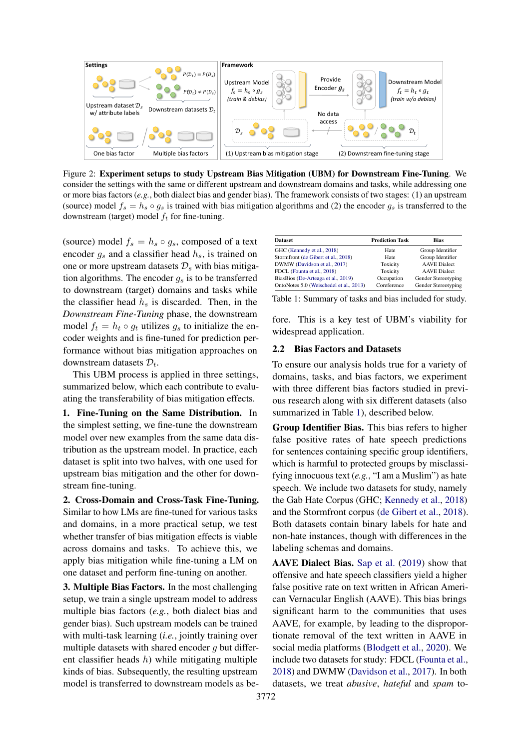<span id="page-2-1"></span>

Figure 2: Experiment setups to study Upstream Bias Mitigation (UBM) for Downstream Fine-Tuning. We consider the settings with the same or different upstream and downstream domains and tasks, while addressing one or more bias factors (*e.g.*, both dialect bias and gender bias). The framework consists of two stages: (1) an upstream (source) model  $f_s = h_s \circ g_s$  is trained with bias mitigation algorithms and (2) the encoder  $g_s$  is transferred to the downstream (target) model  $f_t$  for fine-tuning.

(source) model  $f_s = h_s \circ g_s$ , composed of a text encoder  $g_s$  and a classifier head  $h_s$ , is trained on one or more upstream datasets  $\mathcal{D}_s$  with bias mitigation algorithms. The encoder  $q_s$  is to be transferred to downstream (target) domains and tasks while the classifier head  $h_s$  is discarded. Then, in the *Downstream Fine-Tuning* phase, the downstream model  $f_t = h_t \circ q_t$  utilizes  $q_s$  to initialize the encoder weights and is fine-tuned for prediction performance without bias mitigation approaches on downstream datasets  $\mathcal{D}_t$ .

This UBM process is applied in three settings, summarized below, which each contribute to evaluating the transferability of bias mitigation effects.

1. Fine-Tuning on the Same Distribution. In the simplest setting, we fine-tune the downstream model over new examples from the same data distribution as the upstream model. In practice, each dataset is split into two halves, with one used for upstream bias mitigation and the other for downstream fine-tuning.

2. Cross-Domain and Cross-Task Fine-Tuning. Similar to how LMs are fine-tuned for various tasks and domains, in a more practical setup, we test whether transfer of bias mitigation effects is viable across domains and tasks. To achieve this, we apply bias mitigation while fine-tuning a LM on one dataset and perform fine-tuning on another.

3. Multiple Bias Factors. In the most challenging setup, we train a single upstream model to address multiple bias factors (*e.g.*, both dialect bias and gender bias). Such upstream models can be trained with multi-task learning (*i.e.*, jointly training over multiple datasets with shared encoder  $q$  but different classifier heads  $h$ ) while mitigating multiple kinds of bias. Subsequently, the resulting upstream model is transferred to downstream models as be-

<span id="page-2-2"></span>

| <b>Dataset</b>                          | <b>Prediction Task</b> | <b>Bias</b>         |
|-----------------------------------------|------------------------|---------------------|
| GHC (Kennedy et al., 2018)              | Hate                   | Group Identifier    |
| Stormfront (de Gibert et al., 2018)     | Hate                   | Group Identifier    |
| DWMW (Davidson et al., 2017)            | Toxicity               | <b>AAVE</b> Dialect |
| FDCL (Founta et al., 2018)              | Toxicity               | <b>AAVE</b> Dialect |
| BiasBios (De-Arteaga et al., 2019)      | Occupation             | Gender Stereotyping |
| OntoNotes 5.0 (Weischedel et al., 2013) | Coreference            | Gender Stereotyping |

Table 1: Summary of tasks and bias included for study.

fore. This is a key test of UBM's viability for widespread application.

#### <span id="page-2-0"></span>2.2 Bias Factors and Datasets

To ensure our analysis holds true for a variety of domains, tasks, and bias factors, we experiment with three different bias factors studied in previous research along with six different datasets (also summarized in Table [1\)](#page-2-2), described below.

Group Identifier Bias. This bias refers to higher false positive rates of hate speech predictions for sentences containing specific group identifiers, which is harmful to protected groups by misclassifying innocuous text (*e.g.*, "I am a Muslim") as hate speech. We include two datasets for study, namely the Gab Hate Corpus (GHC; [Kennedy et al.,](#page-9-10) [2018\)](#page-9-10) and the Stormfront corpus [\(de Gibert et al.,](#page-8-9) [2018\)](#page-8-9). Both datasets contain binary labels for hate and non-hate instances, though with differences in the labeling schemas and domains.

AAVE Dialect Bias. [Sap et al.](#page-9-12) [\(2019\)](#page-9-12) show that offensive and hate speech classifiers yield a higher false positive rate on text written in African American Vernacular English (AAVE). This bias brings significant harm to the communities that uses AAVE, for example, by leading to the disproportionate removal of the text written in AAVE in social media platforms [\(Blodgett et al.,](#page-8-8) [2020\)](#page-8-8). We include two datasets for study: FDCL [\(Founta et al.,](#page-9-11) [2018\)](#page-9-11) and DWMW [\(Davidson et al.,](#page-8-10) [2017\)](#page-8-10). In both datasets, we treat *abusive*, *hateful* and *spam* to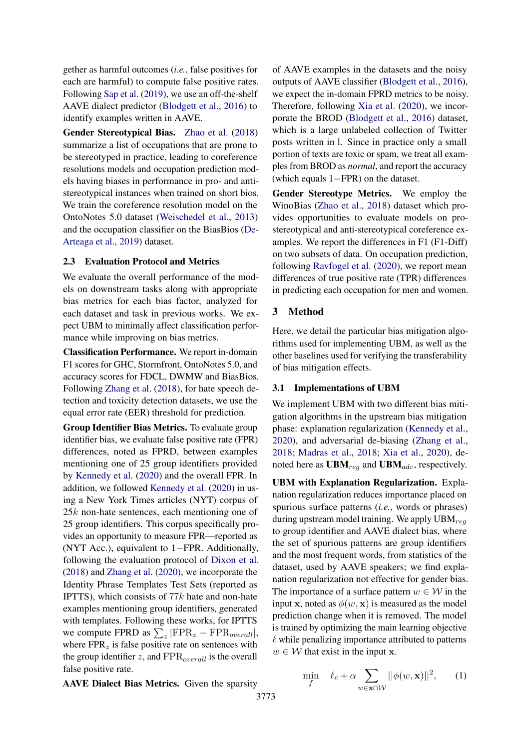gether as harmful outcomes (*i.e.*, false positives for each are harmful) to compute false positive rates. Following [Sap et al.](#page-9-12) [\(2019\)](#page-9-12), we use an off-the-shelf AAVE dialect predictor [\(Blodgett et al.,](#page-8-12) [2016\)](#page-8-12) to identify examples written in AAVE.

Gender Stereotypical Bias. [Zhao et al.](#page-10-1) [\(2018\)](#page-10-1) summarize a list of occupations that are prone to be stereotyped in practice, leading to coreference resolutions models and occupation prediction models having biases in performance in pro- and antistereotypical instances when trained on short bios. We train the coreference resolution model on the OntoNotes 5.0 dataset [\(Weischedel et al.,](#page-10-4) [2013\)](#page-10-4) and the occupation classifier on the BiasBios [\(De-](#page-8-11)[Arteaga et al.,](#page-8-11) [2019\)](#page-8-11) dataset.

## <span id="page-3-0"></span>2.3 Evaluation Protocol and Metrics

We evaluate the overall performance of the models on downstream tasks along with appropriate bias metrics for each bias factor, analyzed for each dataset and task in previous works. We expect UBM to minimally affect classification performance while improving on bias metrics.

Classification Performance. We report in-domain F1 scores for GHC, Stormfront, OntoNotes 5.0, and accuracy scores for FDCL, DWMW and BiasBios. Following [Zhang et al.](#page-10-0) [\(2018\)](#page-10-0), for hate speech detection and toxicity detection datasets, we use the equal error rate (EER) threshold for prediction.

Group Identifier Bias Metrics. To evaluate group identifier bias, we evaluate false positive rate (FPR) differences, noted as FPRD, between examples mentioning one of 25 group identifiers provided by [Kennedy et al.](#page-9-1) [\(2020\)](#page-9-1) and the overall FPR. In addition, we followed [Kennedy et al.](#page-9-1) [\(2020\)](#page-9-1) in using a New York Times articles (NYT) corpus of 25k non-hate sentences, each mentioning one of 25 group identifiers. This corpus specifically provides an opportunity to measure FPR—reported as (NYT Acc.), equivalent to 1−FPR. Additionally, following the evaluation protocol of [Dixon et al.](#page-8-1) [\(2018\)](#page-8-1) and [Zhang et al.](#page-10-5) [\(2020\)](#page-10-5), we incorporate the Identity Phrase Templates Test Sets (reported as IPTTS), which consists of  $77k$  hate and non-hate examples mentioning group identifiers, generated with templates. Following these works, for IPTTS we compute FPRD as  $\sum_z | \text{FPR}_z - \text{FPR}_{overall} |$ , where  $FPR<sub>z</sub>$  is false positive rate on sentences with the group identifier  $z$ , and  $\text{FPR}_{overall}$  is the overall false positive rate.

AAVE Dialect Bias Metrics. Given the sparsity

of AAVE examples in the datasets and the noisy outputs of AAVE classifier [\(Blodgett et al.,](#page-8-12) [2016\)](#page-8-12), we expect the in-domain FPRD metrics to be noisy. Therefore, following [Xia et al.](#page-10-6) [\(2020\)](#page-10-6), we incorporate the BROD [\(Blodgett et al.,](#page-8-12) [2016\)](#page-8-12) dataset, which is a large unlabeled collection of Twitter posts written in l. Since in practice only a small portion of texts are toxic or spam, we treat all examples from BROD as *normal*, and report the accuracy (which equals 1−FPR) on the dataset.

Gender Stereotype Metrics. We employ the WinoBias [\(Zhao et al.,](#page-10-1) [2018\)](#page-10-1) dataset which provides opportunities to evaluate models on prostereotypical and anti-stereotypical coreference examples. We report the differences in F1 (F1-Diff) on two subsets of data. On occupation prediction, following [Ravfogel et al.](#page-9-6) [\(2020\)](#page-9-6), we report mean differences of true positive rate (TPR) differences in predicting each occupation for men and women.

### 3 Method

Here, we detail the particular bias mitigation algorithms used for implementing UBM, as well as the other baselines used for verifying the transferability of bias mitigation effects.

#### 3.1 Implementations of UBM

We implement UBM with two different bias mitigation algorithms in the upstream bias mitigation phase: explanation regularization [\(Kennedy et al.,](#page-9-1) [2020\)](#page-9-1), and adversarial de-biasing [\(Zhang et al.,](#page-10-0) [2018;](#page-10-0) [Madras et al.,](#page-9-8) [2018;](#page-9-8) [Xia et al.,](#page-10-6) [2020\)](#page-10-6), denoted here as  $UBM_{req}$  and  $UBM_{adv}$ , respectively.

UBM with Explanation Regularization. Explanation regularization reduces importance placed on spurious surface patterns (*i.e.*, words or phrases) during upstream model training. We apply  $UBM_{req}$ to group identifier and AAVE dialect bias, where the set of spurious patterns are group identifiers and the most frequent words, from statistics of the dataset, used by AAVE speakers; we find explanation regularization not effective for gender bias. The importance of a surface pattern  $w \in \mathcal{W}$  in the input x, noted as  $\phi(w, x)$  is measured as the model prediction change when it is removed. The model is trained by optimizing the main learning objective  $\ell$  while penalizing importance attributed to patterns  $w \in \mathcal{W}$  that exist in the input **x**.

<span id="page-3-1"></span>
$$
\min_{f} \quad \ell_c + \alpha \sum_{w \in \mathbf{x} \cap \mathcal{W}} ||\phi(w, \mathbf{x})||^2, \qquad (1)
$$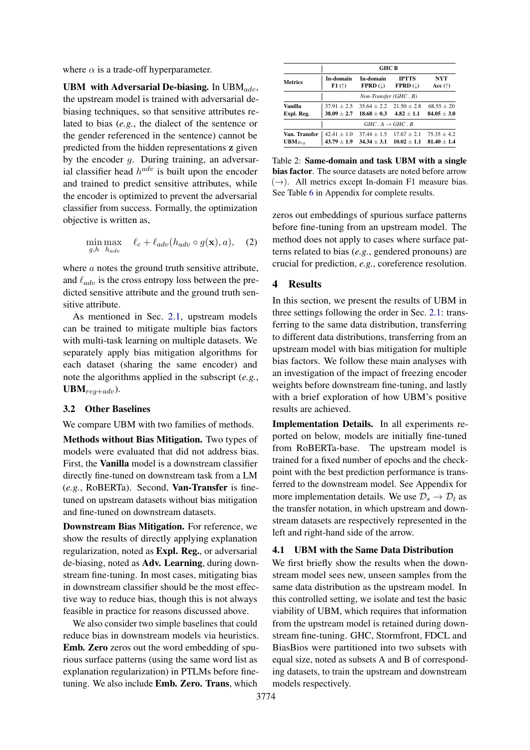where  $\alpha$  is a trade-off hyperparameter.

UBM with Adversarial De-biasing. In  $UBM_{adv}$ , the upstream model is trained with adversarial debiasing techniques, so that sensitive attributes related to bias (*e.g.*, the dialect of the sentence or the gender referenced in the sentence) cannot be predicted from the hidden representations z given by the encoder g. During training, an adversarial classifier head  $h^{adv}$  is built upon the encoder and trained to predict sensitive attributes, while the encoder is optimized to prevent the adversarial classifier from success. Formally, the optimization objective is written as,

$$
\min_{g,h} \max_{h_{adv}} \ell_c + \ell_{adv}(h_{adv} \circ g(\mathbf{x}), a), \quad (2)
$$

where *a* notes the ground truth sensitive attribute, and  $\ell_{adv}$  is the cross entropy loss between the predicted sensitive attribute and the ground truth sensitive attribute.

As mentioned in Sec. [2.1,](#page-1-0) upstream models can be trained to mitigate multiple bias factors with multi-task learning on multiple datasets. We separately apply bias mitigation algorithms for each dataset (sharing the same encoder) and note the algorithms applied in the subscript (*e.g.*,  $UBM_{req+adv}$ ).

### 3.2 Other Baselines

We compare UBM with two families of methods.

Methods without Bias Mitigation. Two types of models were evaluated that did not address bias. First, the Vanilla model is a downstream classifier directly fine-tuned on downstream task from a LM (*e.g.*, RoBERTa). Second, Van-Transfer is finetuned on upstream datasets without bias mitigation and fine-tuned on downstream datasets.

Downstream Bias Mitigation. For reference, we show the results of directly applying explanation regularization, noted as Expl. Reg., or adversarial de-biasing, noted as Adv. Learning, during downstream fine-tuning. In most cases, mitigating bias in downstream classifier should be the most effective way to reduce bias, though this is not always feasible in practice for reasons discussed above.

We also consider two simple baselines that could reduce bias in downstream models via heuristics. Emb. Zero zeros out the word embedding of spurious surface patterns (using the same word list as explanation regularization) in PTLMs before finetuning. We also include Emb. Zero. Trans, which

<span id="page-4-0"></span>

|                | <b>GHC B</b>           |                                 |                         |                  |  |  |  |  |  |  |  |
|----------------|------------------------|---------------------------------|-------------------------|------------------|--|--|--|--|--|--|--|
| <b>Metrics</b> | In-domain              | In-domain                       | <b>IPTTS</b>            | NYT              |  |  |  |  |  |  |  |
|                | F1(                    | $FPRD$ ( $\downarrow$ )         | $FPRD$ ( $\downarrow$ ) | Acc $(\uparrow)$ |  |  |  |  |  |  |  |
|                | Non-Transfer (GHC . B) |                                 |                         |                  |  |  |  |  |  |  |  |
| Vanilla        | $37.91 \pm 2.5$        | $35.64 + 2.2$                   | $21.50 + 2.8$           | $68.55 + 20$     |  |  |  |  |  |  |  |
| Expl. Reg.     | $38.09 \pm 2.7$        | $18.68 + 0.3$                   | $4.82 + 1.1$            | $84.05 + 3.0$    |  |  |  |  |  |  |  |
|                |                        | $GHC \, A \rightarrow GHC \, B$ |                         |                  |  |  |  |  |  |  |  |
| Van. Transfer  | $42.41 + 1.0$          | $37.44 + 1.5$                   | $17.67 + 2.1$           | $75.35 + 4.2$    |  |  |  |  |  |  |  |
| $UBM_{Req}$    | $43.79 \pm 1.9$        | $34.34 + 3.1$                   | $10.02 + 1.1$           | $81.40 + 1.4$    |  |  |  |  |  |  |  |

Table 2: Same-domain and task UBM with a single bias factor. The source datasets are noted before arrow  $(\rightarrow)$ . All metrics except In-domain F1 measure bias. See Table [6](#page-12-0) in Appendix for complete results.

zeros out embeddings of spurious surface patterns before fine-tuning from an upstream model. The method does not apply to cases where surface patterns related to bias (*e.g.*, gendered pronouns) are crucial for prediction, *e.g.*, coreference resolution.

### 4 Results

In this section, we present the results of UBM in three settings following the order in Sec. [2.1:](#page-1-0) transferring to the same data distribution, transferring to different data distributions, transferring from an upstream model with bias mitigation for multiple bias factors. We follow these main analyses with an investigation of the impact of freezing encoder weights before downstream fine-tuning, and lastly with a brief exploration of how UBM's positive results are achieved.

Implementation Details. In all experiments reported on below, models are initially fine-tuned from RoBERTa-base. The upstream model is trained for a fixed number of epochs and the checkpoint with the best prediction performance is transferred to the downstream model. See Appendix for more implementation details. We use  $\mathcal{D}_s \rightarrow \mathcal{D}_t$  as the transfer notation, in which upstream and downstream datasets are respectively represented in the left and right-hand side of the arrow.

### 4.1 UBM with the Same Data Distribution

We first briefly show the results when the downstream model sees new, unseen samples from the same data distribution as the upstream model. In this controlled setting, we isolate and test the basic viability of UBM, which requires that information from the upstream model is retained during downstream fine-tuning. GHC, Stormfront, FDCL and BiasBios were partitioned into two subsets with equal size, noted as subsets A and B of corresponding datasets, to train the upstream and downstream models respectively.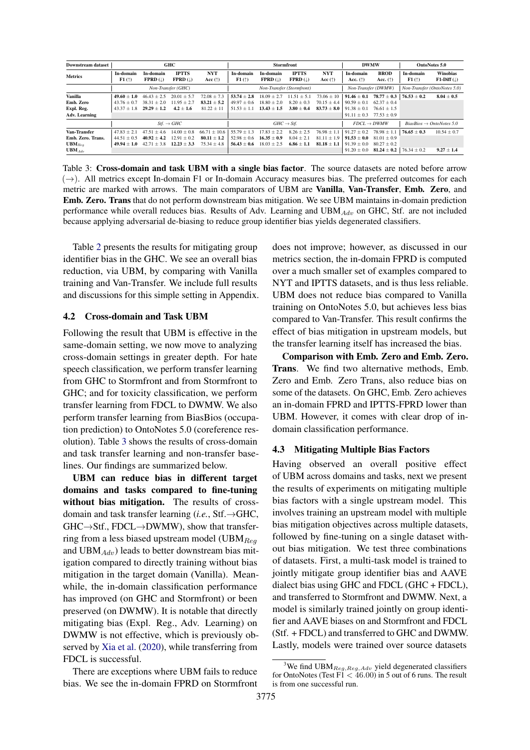<span id="page-5-0"></span>

| <b>Downstream dataset</b> |                        |                                         | GHC                                |                                | <b>Stormfront</b> |                                |                                    | <b>DWMW</b>             |                                      | OntoNotes 5.0                    |                  |                           |
|---------------------------|------------------------|-----------------------------------------|------------------------------------|--------------------------------|-------------------|--------------------------------|------------------------------------|-------------------------|--------------------------------------|----------------------------------|------------------|---------------------------|
| <b>Metrics</b>            | In-domain<br>F1(†)     | In-domain<br><b>FPRD</b> $(\downarrow)$ | <b>IPTTS</b><br>$FPRD$ ( $\perp$ ) | <b>NYT</b><br>Acc $(\uparrow)$ | In-domain<br>F1(  | In-domain<br><b>FPRD</b> $(1)$ | <b>IPTTS</b><br>$FPRD(\downarrow)$ | <b>NYT</b><br>Acc $(†)$ | In-domain<br>Acc. $(\uparrow)$       | <b>BROD</b><br>Acc. $(\uparrow)$ | In-domain<br>F1( | Winobias<br>$F1-Diff$ (1) |
|                           | Non-Transfer (GHC)     |                                         |                                    | Non-Transfer (Stormfront)      |                   |                                |                                    | Non-Transfer (DWMW)     |                                      | Non-Transfer (OntoNotes 5.0)     |                  |                           |
| Vanilla                   | $49.60 + 1.0$          | $46.43 + 2.5$                           | $20.01 + 5.7$                      | $72.08 + 7.3$                  | $53.74 + 2.8$     | $18.09 \pm 2.7$                | $+5.1$<br>11.51                    | $73.06 \pm 10$          | $91.46 + 0.1$                        | $78.77 \pm 0.3$                  | $76.53 + 0.2$    | $8.04 + 0.5$              |
| Emb. Zero                 | $43.76 + 0.7$          | $38.31 + 2.0$                           | $11.95 + 2.7$                      | $83.21 + 5.2$                  | $49.97 \pm 0.6$   | $18.80 + 2.0$                  | $8.20 + 0.3$                       | $70.15 + 4.4$           | $90.59 + 0.1$                        | $62.37 + 0.4$                    |                  |                           |
| Expl. Reg.                | $43.37 + 1.8$          | $29.29 + 1.2$                           | $4.2 + 1.6$                        | $81.22 + 11$                   | $51.53 \pm 1.1$   | $13.43 \pm 1.5$                | $3.80 + 0.4$                       | $83.73 + 8.0$           | $91.38 + 0.1$                        | $76.61 + 1.5$                    |                  |                           |
| <b>Adv. Learning</b>      |                        |                                         |                                    |                                |                   |                                |                                    |                         | $91.11 \pm 0.3$                      | $77.53 \pm 0.9$                  |                  |                           |
|                           | $Stf. \rightarrow GHC$ |                                         | $GHC \rightarrow Stf.$             |                                |                   | $FDCL \rightarrow DWMW$        |                                    |                         | $BiasBios \rightarrow OntoNotes 5.0$ |                                  |                  |                           |
| Van-Transfer              | $47.83 + 2.1$          | $47.51 + 4.6$                           | $14.00 + 0.8$                      | 66.71<br>$+10.6$               | $55.79 + 1.3$     | 17.83<br>$+2.2$                | $8.26 \pm 2.5$                     | $76.98 \pm 1.1$         | $91.27 + 0.2$                        | $78.98 + 1.1$                    | $76.65 + 0.3$    | $10.54 + 0.7$             |
| Emb. Zero. Trans.         | $44.51 + 0.5$          | $40.92 + 4.2$                           | $12.91 \pm 0.2$                    | $80.11 + 1.2$                  | $52.98 \pm 0.6$   | $16.35 + 0.9$                  | $8.04 \pm 2.1$                     | $81.11 + 1.9$           | $91.53 + 0.0$                        | $81.01 + 0.9$                    |                  |                           |
| $UBM_{Req}$               | $49.94 + 1.0$          | $42.71 + 3.8$                           | $12.23 + 3.3$                      | $75.34 \pm 4.8$                | $56.43 \pm 0.6$   | $18.03 \pm 2.5$                | $6.86 \pm 1.1$                     | $81.18 \pm 1.1$         | $91.39 \pm 0.0$                      | $80.27 + 0.2$                    |                  |                           |
| $UBM_{Adv}$               |                        |                                         |                                    |                                |                   |                                |                                    |                         | $91.20 \pm 0.0$                      | $81.24 \pm 0.2$                  | $76.34 \pm 0.2$  | $9.27 \pm 1.4$            |

Table 3: Cross-domain and task UBM with a single bias factor. The source datasets are noted before arrow  $(\rightarrow)$ . All metrics except In-domain F1 or In-domain Accuracy measures bias. The preferred outcomes for each metric are marked with arrows. The main comparators of UBM are Vanilla, Van-Transfer, Emb. Zero, and Emb. Zero. Trans that do not perform downstream bias mitigation. We see UBM maintains in-domain prediction performance while overall reduces bias. Results of Adv. Learning and UBM $_{Adv}$  on GHC, Stf. are not included because applying adversarial de-biasing to reduce group identifier bias yields degenerated classifiers.

Table [2](#page-4-0) presents the results for mitigating group identifier bias in the GHC. We see an overall bias reduction, via UBM, by comparing with Vanilla training and Van-Transfer. We include full results and discussions for this simple setting in Appendix.

### 4.2 Cross-domain and Task UBM

Following the result that UBM is effective in the same-domain setting, we now move to analyzing cross-domain settings in greater depth. For hate speech classification, we perform transfer learning from GHC to Stormfront and from Stormfront to GHC; and for toxicity classification, we perform transfer learning from FDCL to DWMW. We also perform transfer learning from BiasBios (occupation prediction) to OntoNotes 5.0 (coreference resolution). Table [3](#page-5-0) shows the results of cross-domain and task transfer learning and non-transfer baselines. Our findings are summarized below.

UBM can reduce bias in different target domains and tasks compared to fine-tuning without bias mitigation. The results of crossdomain and task transfer learning (*i.e.*, Stf.→GHC,  $GHC \rightarrow Stf., FDCL \rightarrow DWMW$ ), show that transferring from a less biased upstream model (UBM $_{Req}$ and UBM $_{Adv}$ ) leads to better downstream bias mitigation compared to directly training without bias mitigation in the target domain (Vanilla). Meanwhile, the in-domain classification performance has improved (on GHC and Stormfront) or been preserved (on DWMW). It is notable that directly mitigating bias (Expl. Reg., Adv. Learning) on DWMW is not effective, which is previously observed by [Xia et al.](#page-10-6) [\(2020\)](#page-10-6), while transferring from FDCL is successful.

There are exceptions where UBM fails to reduce bias. We see the in-domain FPRD on Stormfront does not improve; however, as discussed in our metrics section, the in-domain FPRD is computed over a much smaller set of examples compared to NYT and IPTTS datasets, and is thus less reliable. UBM does not reduce bias compared to Vanilla training on OntoNotes 5.0, but achieves less bias compared to Van-Transfer. This result confirms the effect of bias mitigation in upstream models, but the transfer learning itself has increased the bias.

Comparison with Emb. Zero and Emb. Zero. Trans. We find two alternative methods, Emb. Zero and Emb. Zero Trans, also reduce bias on some of the datasets. On GHC, Emb. Zero achieves an in-domain FPRD and IPTTS-FPRD lower than UBM. However, it comes with clear drop of indomain classification performance.

#### 4.3 Mitigating Multiple Bias Factors

Having observed an overall positive effect of UBM across domains and tasks, next we present the results of experiments on mitigating multiple bias factors with a single upstream model. This involves training an upstream model with multiple bias mitigation objectives across multiple datasets, followed by fine-tuning on a single dataset without bias mitigation. We test three combinations of datasets. First, a multi-task model is trained to jointly mitigate group identifier bias and AAVE dialect bias using GHC and FDCL (GHC + FDCL), and transferred to Stormfront and DWMW. Next, a model is similarly trained jointly on group identifier and AAVE biases on and Stormfront and FDCL (Stf. + FDCL) and transferred to GHC and DWMW. Lastly, models were trained over source datasets

<span id="page-5-1"></span><sup>&</sup>lt;sup>3</sup>We find UBM<sub>Reg,Reg,Adv</sub> yield degenerated classifiers for OntoNotes (Test  $F1 < 46.00$ ) in 5 out of 6 runs. The result is from one successful run.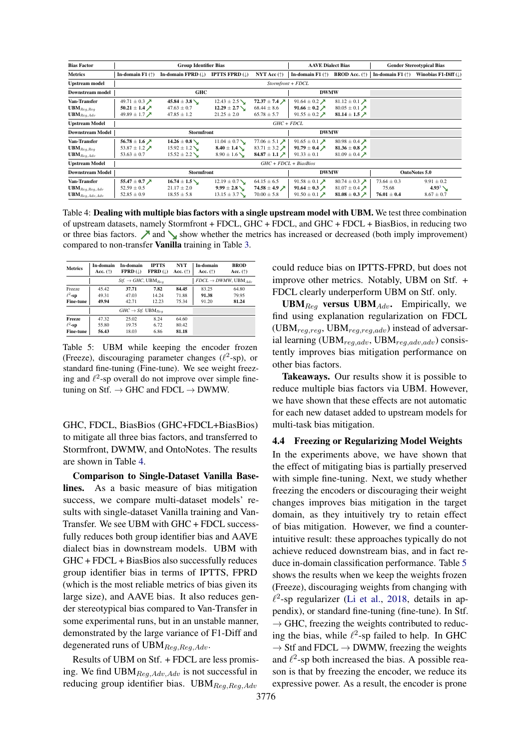<span id="page-6-0"></span>

| <b>Bias Factor</b>           |                                        | <b>Group Identifier Bias</b>  |                            |                                        | <b>AAVE Dialect Bias</b>                  |                                        |                           | <b>Gender Stereotypical Bias</b> |
|------------------------------|----------------------------------------|-------------------------------|----------------------------|----------------------------------------|-------------------------------------------|----------------------------------------|---------------------------|----------------------------------|
| <b>Metrics</b>               | In-domain $F1$ ( $\uparrow$ )          | In-domain FPRD $(\downarrow)$ | <b>IPTTS FPRD</b> $(L)$    | NYT Acc $(\uparrow)$                   | In-domain F1 $(\uparrow)$                 | <b>BROD</b> Acc. $(\uparrow)$          | In-domain F1 $(\uparrow)$ | Winobias F1-Diff $(\downarrow)$  |
| <b>Upstream model</b>        |                                        |                               |                            |                                        |                                           |                                        |                           |                                  |
| <b>Downstream model</b>      | <b>GHC</b>                             |                               |                            |                                        | <b>DWMW</b>                               |                                        |                           |                                  |
| Van-Transfer                 | 49.71 $\pm$ 0.3 $\cancel{\phantom{1}}$ | $45.84 \pm 3.8$               | $12.43 \pm 2.5$            | 72.37 $\pm$ 7.4 $\cancel{\phantom{0}}$ | 91.64 $\pm$ 0.2 $\cancel{\triangleright}$ | 81.12 $\pm$ 0.1 $\lambda$              |                           |                                  |
| $\mathbf{UBM}_{Req,Req}$     | 50.21 ± 1.4 $\lambda$                  | $47.63 \pm 0.7$               | $12.29 \pm 2.7$ $\searrow$ | $68.44 \pm 8.6$                        | 91.66 $\pm$ 0.2 $\cancel{\sim}$           | 80.05 ± 0.1 $\lambda$                  |                           |                                  |
| $\mathbf{UBM}_{Reg, Adv}$    | 49.89 $\pm$ 1.7 $\cancel{\phantom{1}}$ | $47.85 \pm 1.2$               | $21.25 \pm 2.0$            | $65.78 \pm 5.7$                        | 91.55 $\pm$ 0.2 $\cancel{\rightarrow}$    | 81.14 ± 1.5 $\times$                   |                           |                                  |
| <b>Upstream Model</b>        |                                        |                               |                            | $GHC + FDCL$                           |                                           |                                        |                           |                                  |
| <b>Downstream Model</b>      |                                        | <b>Stormfront</b>             |                            |                                        | <b>DWMW</b>                               |                                        |                           |                                  |
| Van-Transfer                 | 56.78 $\pm$ 1.6 $\cancel{\phantom{1}}$ | $14.26 \pm 0.8$               | $11.04 \pm 0.7$            | 77.06 $\pm$ 5.1 $\times$               | 91.65 $\pm$ 0.1 $\lambda$                 | 80.98 ± 0.4 $\cancel{\triangleright}$  |                           |                                  |
| $\mathbf{UBM}_{Req,Req}$     | 53.87 ± 1.2 $\cancel{\prime}$          | $15.92 \pm 1.2$               | $8.40 \pm 1.4$ $\searrow$  | 83.71 ± 3.2 $\cancel{\phantom{0}}$     | 91.79 $\pm$ 0.4 $\cancel{\sqrt{ }}$       | 81.36 $\pm$ 0.8 $\cancel{\nearrow}$    |                           |                                  |
| $UBM_{Req, Adv}$             | $53.63 \pm 0.7$                        | $15.52 \pm 2.2$               | $8.90 \pm 1.6$ V           | 84.87 ± 1.1 $\lambda$                  | $91.33 \pm 0.1$                           | 81.09 ± 0.4 $\cancel{\triangleright}$  |                           |                                  |
| <b>Upstream Model</b>        |                                        |                               |                            | $GHC + FDCL + BiasBios$                |                                           |                                        |                           |                                  |
| <b>Downstream Model</b>      | <b>Stormfront</b>                      |                               |                            |                                        | <b>DWMW</b>                               |                                        | <b>OntoNotes 5.0</b>      |                                  |
| Van-Transfer                 | 55.47 $\pm$ 0.7 $\cancel{\nearrow}$    | $16.74 \pm 1.5$               | $12.19 \pm 0.7$            | $64.15 \pm 6.5$                        | 91.58 $\pm$ 0.1 $\cancel{\pi}$            | 80.74 $\pm$ 0.3 $\cancel{\phantom{1}}$ | $73.64 \pm 0.3$           | $9.91 \pm 0.2$                   |
| $\mathbf{UBM}_{Reg,Reg,Adv}$ | $52.59 \pm 0.5$                        | $21.17 \pm 2.0$               | $9.99 \pm 2.8$             | 74.58 $\pm$ 4.9 $\cancel{\sqrt{ }}$    | 91.64 $\pm$ 0.3 $\cancel{\triangleright}$ | 81.07 ± 0.4 $\cancel{\rightarrow}$     | 75.68                     | $4.93^{3}$ $\sim$                |
| $UBM_{Reg, Adv, Adv}$        | $52.85 \pm 0.9$                        | $18.55 \pm 5.8$               | $13.15 \pm 3.7$            | $70.00 \pm 5.8$                        | 91.50 $\pm$ 0.1 $\cancel{\rightarrow}$    | 81.08 $\pm$ 0.3 $\cancel{\sim}$        | $76.01 \pm 0.4$           | $8.67 \pm 0.7$                   |

Table 4: Dealing with multiple bias factors with a single upstream model with UBM. We test three combination of upstream datasets, namely Stormfront + FDCL, GHC + FDCL, and GHC + FDCL + BiasBios, in reducing two or three bias factors.  $\blacktriangleright$  and  $\blacktriangleright$  show whether the metrics has increased or decreased (both imply improvement) compared to non-transfer Vanilla training in Table [3.](#page-5-0)

<span id="page-6-1"></span>

| <b>Metrics</b>   | In-domain<br>Acc. $(\uparrow)$ | In-domain<br>$FPRD$ ( $\downarrow$ )        | <b>IPTTS</b><br>$FPRD$ ( $\perp$ ) | <b>NYT</b><br>Acc. $(\uparrow)$ | In-domain<br>Acc. $(†)$                | <b>BROD</b><br>Acc. $(\uparrow)$ |
|------------------|--------------------------------|---------------------------------------------|------------------------------------|---------------------------------|----------------------------------------|----------------------------------|
|                  |                                | $Stf. \rightarrow GHC$ , UBM <sub>Rea</sub> |                                    |                                 | $FDCL \rightarrow DWMW$ , UBM $_{4dv}$ |                                  |
| Freeze           | 45.42                          | 37.71                                       | 7.82                               | 84.45                           | 83.25                                  | 64.80                            |
| $\ell^2$ -sp     | 49.31                          | 47.03                                       | 14.24                              | 71.88                           | 91.38                                  | 79.95                            |
| <b>Fine-tune</b> | 49.94                          | 42.71                                       | 12.23                              | 75.34                           | 91.20                                  | 81.24                            |
|                  |                                | $GHC \rightarrow Stf. \text{ UBM}_{Bea}$    |                                    |                                 |                                        |                                  |
| Freeze           | 47.32                          | 25.02                                       | 8.24                               | 64.60                           |                                        |                                  |
| $\ell^2$ -sp     | 55.80                          | 19.75                                       | 6.72                               | 80.42                           |                                        |                                  |
| <b>Fine-tune</b> | 56.43                          | 18.03                                       | 6.86                               | 81.18                           |                                        |                                  |

Table 5: UBM while keeping the encoder frozen (Freeze), discouraging parameter changes ( $\ell^2$ -sp), or standard fine-tuning (Fine-tune). We see weight freezing and  $\ell^2$ -sp overall do not improve over simple finetuning on Stf.  $\rightarrow$  GHC and FDCL  $\rightarrow$  DWMW.

GHC, FDCL, BiasBios (GHC+FDCL+BiasBios) to mitigate all three bias factors, and transferred to Stormfront, DWMW, and OntoNotes. The results are shown in Table [4.](#page-6-0)

Comparison to Single-Dataset Vanilla Baselines. As a basic measure of bias mitigation success, we compare multi-dataset models' results with single-dataset Vanilla training and Van-Transfer. We see UBM with GHC + FDCL successfully reduces both group identifier bias and AAVE dialect bias in downstream models. UBM with GHC + FDCL + BiasBios also successfully reduces group identifier bias in terms of IPTTS, FPRD (which is the most reliable metrics of bias given its large size), and AAVE bias. It also reduces gender stereotypical bias compared to Van-Transfer in some experimental runs, but in an unstable manner, demonstrated by the large variance of F1-Diff and degenerated runs of  $UBM_{Reg,Reg,Adv}$ .

Results of UBM on Stf. + FDCL are less promising. We find  $UBM_{Req, Adv, Adv}$  is not successful in reducing group identifier bias. UBM $_{Req,Req,Adv}$ 

could reduce bias on IPTTS-FPRD, but does not improve other metrics. Notably, UBM on Stf. + FDCL clearly underperform UBM on Stf. only.

UBM $_{Req}$  versus UBM $_{Adv}$ . Empirically, we find using explanation regularization on FDCL  $(UBM_{req,req}, UBM_{req,req,adv})$  instead of adversarial learning (UBM $_{reg,adv}$ , UBM $_{reg,adv,adv}$ ) consistently improves bias mitigation performance on other bias factors.

Takeaways. Our results show it is possible to reduce multiple bias factors via UBM. However, we have shown that these effects are not automatic for each new dataset added to upstream models for multi-task bias mitigation.

## <span id="page-6-2"></span>4.4 Freezing or Regularizing Model Weights

In the experiments above, we have shown that the effect of mitigating bias is partially preserved with simple fine-tuning. Next, we study whether freezing the encoders or discouraging their weight changes improves bias mitigation in the target domain, as they intuitively try to retain effect of bias mitigation. However, we find a counterintuitive result: these approaches typically do not achieve reduced downstream bias, and in fact reduce in-domain classification performance. Table [5](#page-6-1) shows the results when we keep the weights frozen (Freeze), discouraging weights from changing with  $\ell^2$ -sp regularizer [\(Li et al.,](#page-9-13) [2018,](#page-9-13) details in appendix), or standard fine-tuning (fine-tune). In Stf.  $\rightarrow$  GHC, freezing the weights contributed to reducing the bias, while  $\ell^2$ -sp failed to help. In GHC  $\rightarrow$  Stf and FDCL  $\rightarrow$  DWMW, freezing the weights and  $\ell^2$ -sp both increased the bias. A possible reason is that by freezing the encoder, we reduce its expressive power. As a result, the encoder is prone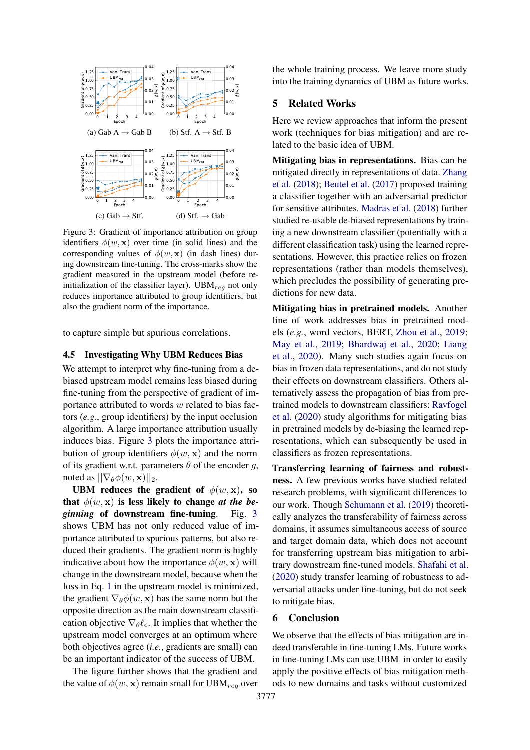<span id="page-7-0"></span>

Figure 3: Gradient of importance attribution on group identifiers  $\phi(w, x)$  over time (in solid lines) and the corresponding values of  $\phi(w, \mathbf{x})$  (in dash lines) during downstream fine-tuning. The cross-marks show the gradient measured in the upstream model (before reinitialization of the classifier layer). UBM $_{req}$  not only reduces importance attributed to group identifiers, but also the gradient norm of the importance.

to capture simple but spurious correlations.

### <span id="page-7-1"></span>4.5 Investigating Why UBM Reduces Bias

We attempt to interpret why fine-tuning from a debiased upstream model remains less biased during fine-tuning from the perspective of gradient of importance attributed to words w related to bias factors (*e.g.*, group identifiers) by the input occlusion algorithm. A large importance attribution usually induces bias. Figure [3](#page-7-0) plots the importance attribution of group identifiers  $\phi(w, \mathbf{x})$  and the norm of its gradient w.r.t. parameters  $\theta$  of the encoder g, noted as  $||\nabla_{\theta}\phi(w, \mathbf{x})||_2$ .

UBM reduces the gradient of  $\phi(w, \mathbf{x})$ , so that  $\phi(w, x)$  is less likely to change *at the beginning* of downstream fine-tuning. Fig. [3](#page-7-0) shows UBM has not only reduced value of importance attributed to spurious patterns, but also reduced their gradients. The gradient norm is highly indicative about how the importance  $\phi(w, \mathbf{x})$  will change in the downstream model, because when the loss in Eq. [1](#page-3-1) in the upstream model is minimized, the gradient  $\nabla_{\theta} \phi(w, \mathbf{x})$  has the same norm but the opposite direction as the main downstream classification objective  $\nabla_{\theta} \ell_c$ . It implies that whether the upstream model converges at an optimum where both objectives agree (*i.e.*, gradients are small) can be an important indicator of the success of UBM.

The figure further shows that the gradient and the value of  $\phi(w, x)$  remain small for UBM<sub>req</sub> over the whole training process. We leave more study into the training dynamics of UBM as future works.

## 5 Related Works

Here we review approaches that inform the present work (techniques for bias mitigation) and are related to the basic idea of UBM.

Mitigating bias in representations. Bias can be mitigated directly in representations of data. [Zhang](#page-10-0) [et al.](#page-10-0) [\(2018\)](#page-10-0); [Beutel et al.](#page-8-4) [\(2017\)](#page-8-4) proposed training a classifier together with an adversarial predictor for sensitive attributes. [Madras et al.](#page-9-8) [\(2018\)](#page-9-8) further studied re-usable de-biased representations by training a new downstream classifier (potentially with a different classification task) using the learned representations. However, this practice relies on frozen representations (rather than models themselves), which precludes the possibility of generating predictions for new data.

Mitigating bias in pretrained models. Another line of work addresses bias in pretrained models (*e.g.*, word vectors, BERT, [Zhou et al.,](#page-10-2) [2019;](#page-10-2) [May et al.,](#page-9-14) [2019;](#page-9-14) [Bhardwaj et al.,](#page-8-6) [2020;](#page-8-6) [Liang](#page-9-5) [et al.,](#page-9-5) [2020\)](#page-9-5). Many such studies again focus on bias in frozen data representations, and do not study their effects on downstream classifiers. Others alternatively assess the propagation of bias from pretrained models to downstream classifiers: [Ravfogel](#page-9-6) [et al.](#page-9-6) [\(2020\)](#page-9-6) study algorithms for mitigating bias in pretrained models by de-biasing the learned representations, which can subsequently be used in classifiers as frozen representations.

Transferring learning of fairness and robustness. A few previous works have studied related research problems, with significant differences to our work. Though [Schumann et al.](#page-9-15) [\(2019\)](#page-9-15) theoretically analyzes the transferability of fairness across domains, it assumes simultaneous access of source and target domain data, which does not account for transferring upstream bias mitigation to arbitrary downstream fine-tuned models. [Shafahi et al.](#page-10-7) [\(2020\)](#page-10-7) study transfer learning of robustness to adversarial attacks under fine-tuning, but do not seek to mitigate bias.

## 6 Conclusion

We observe that the effects of bias mitigation are indeed transferable in fine-tuning LMs. Future works in fine-tuning LMs can use UBM in order to easily apply the positive effects of bias mitigation methods to new domains and tasks without customized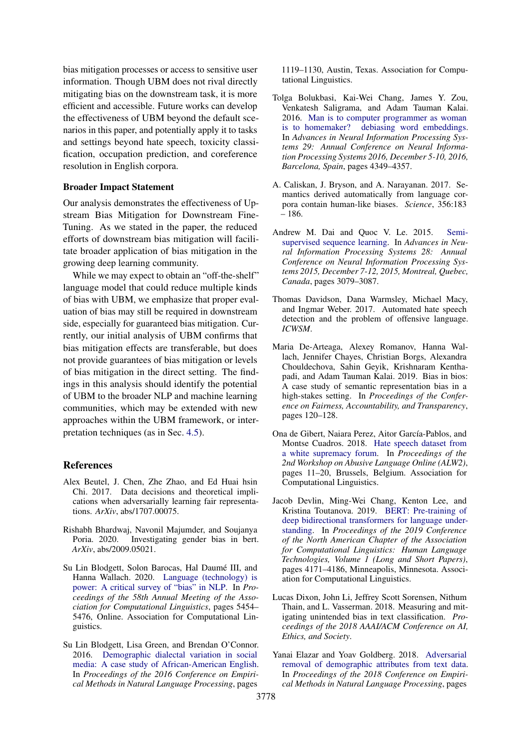bias mitigation processes or access to sensitive user information. Though UBM does not rival directly mitigating bias on the downstream task, it is more efficient and accessible. Future works can develop the effectiveness of UBM beyond the default scenarios in this paper, and potentially apply it to tasks and settings beyond hate speech, toxicity classification, occupation prediction, and coreference resolution in English corpora.

#### Broader Impact Statement

Our analysis demonstrates the effectiveness of Upstream Bias Mitigation for Downstream Fine-Tuning. As we stated in the paper, the reduced efforts of downstream bias mitigation will facilitate broader application of bias mitigation in the growing deep learning community.

While we may expect to obtain an "off-the-shelf" language model that could reduce multiple kinds of bias with UBM, we emphasize that proper evaluation of bias may still be required in downstream side, especially for guaranteed bias mitigation. Currently, our initial analysis of UBM confirms that bias mitigation effects are transferable, but does not provide guarantees of bias mitigation or levels of bias mitigation in the direct setting. The findings in this analysis should identify the potential of UBM to the broader NLP and machine learning communities, which may be extended with new approaches within the UBM framework, or interpretation techniques (as in Sec. [4.5\)](#page-7-1).

## References

- <span id="page-8-4"></span>Alex Beutel, J. Chen, Zhe Zhao, and Ed Huai hsin Chi. 2017. Data decisions and theoretical implications when adversarially learning fair representations. *ArXiv*, abs/1707.00075.
- <span id="page-8-6"></span>Rishabh Bhardwaj, Navonil Majumder, and Soujanya Poria. 2020. Investigating gender bias in bert. *ArXiv*, abs/2009.05021.
- <span id="page-8-8"></span>Su Lin Blodgett, Solon Barocas, Hal Daumé III, and Hanna Wallach. 2020. [Language \(technology\) is](https://doi.org/10.18653/v1/2020.acl-main.485) [power: A critical survey of "bias" in NLP.](https://doi.org/10.18653/v1/2020.acl-main.485) In *Proceedings of the 58th Annual Meeting of the Association for Computational Linguistics*, pages 5454– 5476, Online. Association for Computational Linguistics.
- <span id="page-8-12"></span>Su Lin Blodgett, Lisa Green, and Brendan O'Connor. 2016. [Demographic dialectal variation in social](https://doi.org/10.18653/v1/D16-1120) [media: A case study of African-American English.](https://doi.org/10.18653/v1/D16-1120) In *Proceedings of the 2016 Conference on Empirical Methods in Natural Language Processing*, pages

1119–1130, Austin, Texas. Association for Computational Linguistics.

- <span id="page-8-3"></span>Tolga Bolukbasi, Kai-Wei Chang, James Y. Zou, Venkatesh Saligrama, and Adam Tauman Kalai. 2016. [Man is to computer programmer as woman](https://proceedings.neurips.cc/paper/2016/hash/a486cd07e4ac3d270571622f4f316ec5-Abstract.html) [is to homemaker? debiasing word embeddings.](https://proceedings.neurips.cc/paper/2016/hash/a486cd07e4ac3d270571622f4f316ec5-Abstract.html) In *Advances in Neural Information Processing Systems 29: Annual Conference on Neural Information Processing Systems 2016, December 5-10, 2016, Barcelona, Spain*, pages 4349–4357.
- <span id="page-8-2"></span>A. Caliskan, J. Bryson, and A. Narayanan. 2017. Semantics derived automatically from language corpora contain human-like biases. *Science*, 356:183 – 186.
- <span id="page-8-5"></span>Andrew M. Dai and Quoc V. Le. 2015. [Semi](https://proceedings.neurips.cc/paper/2015/hash/7137debd45ae4d0ab9aa953017286b20-Abstract.html)[supervised sequence learning.](https://proceedings.neurips.cc/paper/2015/hash/7137debd45ae4d0ab9aa953017286b20-Abstract.html) In *Advances in Neural Information Processing Systems 28: Annual Conference on Neural Information Processing Systems 2015, December 7-12, 2015, Montreal, Quebec, Canada*, pages 3079–3087.
- <span id="page-8-10"></span>Thomas Davidson, Dana Warmsley, Michael Macy, and Ingmar Weber. 2017. Automated hate speech detection and the problem of offensive language. *ICWSM*.
- <span id="page-8-11"></span>Maria De-Arteaga, Alexey Romanov, Hanna Wallach, Jennifer Chayes, Christian Borgs, Alexandra Chouldechova, Sahin Geyik, Krishnaram Kenthapadi, and Adam Tauman Kalai. 2019. Bias in bios: A case study of semantic representation bias in a high-stakes setting. In *Proceedings of the Conference on Fairness, Accountability, and Transparency*, pages 120–128.
- <span id="page-8-9"></span>Ona de Gibert, Naiara Perez, Aitor García-Pablos, and Montse Cuadros. 2018. [Hate speech dataset from](https://doi.org/10.18653/v1/W18-5102) [a white supremacy forum.](https://doi.org/10.18653/v1/W18-5102) In *Proceedings of the 2nd Workshop on Abusive Language Online (ALW2)*, pages 11–20, Brussels, Belgium. Association for Computational Linguistics.
- <span id="page-8-0"></span>Jacob Devlin, Ming-Wei Chang, Kenton Lee, and Kristina Toutanova. 2019. [BERT: Pre-training of](https://doi.org/10.18653/v1/N19-1423) [deep bidirectional transformers for language under](https://doi.org/10.18653/v1/N19-1423)[standing.](https://doi.org/10.18653/v1/N19-1423) In *Proceedings of the 2019 Conference of the North American Chapter of the Association for Computational Linguistics: Human Language Technologies, Volume 1 (Long and Short Papers)*, pages 4171–4186, Minneapolis, Minnesota. Association for Computational Linguistics.
- <span id="page-8-1"></span>Lucas Dixon, John Li, Jeffrey Scott Sorensen, Nithum Thain, and L. Vasserman. 2018. Measuring and mitigating unintended bias in text classification. *Proceedings of the 2018 AAAI/ACM Conference on AI, Ethics, and Society*.
- <span id="page-8-7"></span>Yanai Elazar and Yoav Goldberg. 2018. [Adversarial](https://doi.org/10.18653/v1/D18-1002) [removal of demographic attributes from text data.](https://doi.org/10.18653/v1/D18-1002) In *Proceedings of the 2018 Conference on Empirical Methods in Natural Language Processing*, pages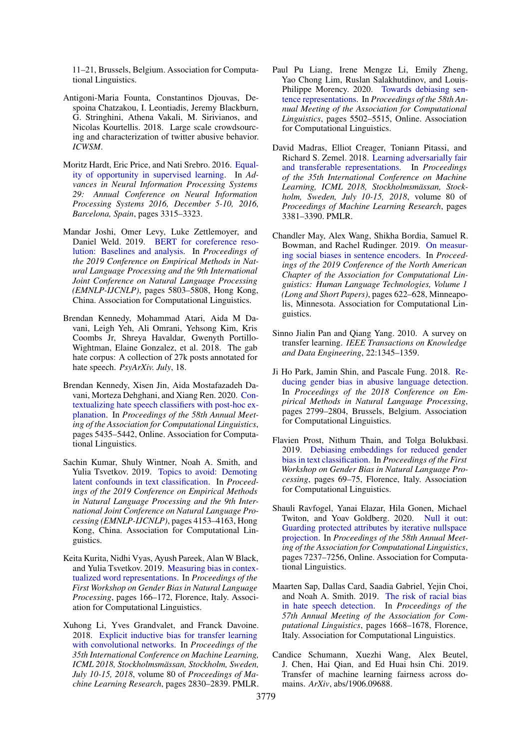11–21, Brussels, Belgium. Association for Computational Linguistics.

- <span id="page-9-11"></span>Antigoni-Maria Founta, Constantinos Djouvas, Despoina Chatzakou, I. Leontiadis, Jeremy Blackburn, G. Stringhini, Athena Vakali, M. Sirivianos, and Nicolas Kourtellis. 2018. Large scale crowdsourcing and characterization of twitter abusive behavior. *ICWSM*.
- <span id="page-9-9"></span>Moritz Hardt, Eric Price, and Nati Srebro. 2016. [Equal](https://proceedings.neurips.cc/paper/2016/hash/9d2682367c3935defcb1f9e247a97c0d-Abstract.html)[ity of opportunity in supervised learning.](https://proceedings.neurips.cc/paper/2016/hash/9d2682367c3935defcb1f9e247a97c0d-Abstract.html) In *Advances in Neural Information Processing Systems 29: Annual Conference on Neural Information Processing Systems 2016, December 5-10, 2016, Barcelona, Spain*, pages 3315–3323.
- <span id="page-9-16"></span>Mandar Joshi, Omer Levy, Luke Zettlemoyer, and Daniel Weld. 2019. [BERT for coreference reso](https://doi.org/10.18653/v1/D19-1588)[lution: Baselines and analysis.](https://doi.org/10.18653/v1/D19-1588) In *Proceedings of the 2019 Conference on Empirical Methods in Natural Language Processing and the 9th International Joint Conference on Natural Language Processing (EMNLP-IJCNLP)*, pages 5803–5808, Hong Kong, China. Association for Computational Linguistics.
- <span id="page-9-10"></span>Brendan Kennedy, Mohammad Atari, Aida M Davani, Leigh Yeh, Ali Omrani, Yehsong Kim, Kris Coombs Jr, Shreya Havaldar, Gwenyth Portillo-Wightman, Elaine Gonzalez, et al. 2018. The gab hate corpus: A collection of 27k posts annotated for hate speech. *PsyArXiv. July*, 18.
- <span id="page-9-1"></span>Brendan Kennedy, Xisen Jin, Aida Mostafazadeh Davani, Morteza Dehghani, and Xiang Ren. 2020. [Con](https://doi.org/10.18653/v1/2020.acl-main.483)[textualizing hate speech classifiers with post-hoc ex](https://doi.org/10.18653/v1/2020.acl-main.483)[planation.](https://doi.org/10.18653/v1/2020.acl-main.483) In *Proceedings of the 58th Annual Meeting of the Association for Computational Linguistics*, pages 5435–5442, Online. Association for Computational Linguistics.
- <span id="page-9-3"></span>Sachin Kumar, Shuly Wintner, Noah A. Smith, and Yulia Tsvetkov. 2019. [Topics to avoid: Demoting](https://doi.org/10.18653/v1/D19-1425) [latent confounds in text classification.](https://doi.org/10.18653/v1/D19-1425) In *Proceedings of the 2019 Conference on Empirical Methods in Natural Language Processing and the 9th International Joint Conference on Natural Language Processing (EMNLP-IJCNLP)*, pages 4153–4163, Hong Kong, China. Association for Computational Linguistics.
- <span id="page-9-0"></span>Keita Kurita, Nidhi Vyas, Ayush Pareek, Alan W Black, and Yulia Tsvetkov. 2019. [Measuring bias in contex](https://doi.org/10.18653/v1/W19-3823)[tualized word representations.](https://doi.org/10.18653/v1/W19-3823) In *Proceedings of the First Workshop on Gender Bias in Natural Language Processing*, pages 166–172, Florence, Italy. Association for Computational Linguistics.
- <span id="page-9-13"></span>Xuhong Li, Yves Grandvalet, and Franck Davoine. 2018. [Explicit inductive bias for transfer learning](http://proceedings.mlr.press/v80/li18a.html) [with convolutional networks.](http://proceedings.mlr.press/v80/li18a.html) In *Proceedings of the 35th International Conference on Machine Learning, ICML 2018, Stockholmsmässan, Stockholm, Sweden, July 10-15, 2018*, volume 80 of *Proceedings of Machine Learning Research*, pages 2830–2839. PMLR.
- <span id="page-9-5"></span>Paul Pu Liang, Irene Mengze Li, Emily Zheng, Yao Chong Lim, Ruslan Salakhutdinov, and Louis-Philippe Morency. 2020. [Towards debiasing sen](https://doi.org/10.18653/v1/2020.acl-main.488)[tence representations.](https://doi.org/10.18653/v1/2020.acl-main.488) In *Proceedings of the 58th Annual Meeting of the Association for Computational Linguistics*, pages 5502–5515, Online. Association for Computational Linguistics.
- <span id="page-9-8"></span>David Madras, Elliot Creager, Toniann Pitassi, and Richard S. Zemel. 2018. [Learning adversarially fair](http://proceedings.mlr.press/v80/madras18a.html) [and transferable representations.](http://proceedings.mlr.press/v80/madras18a.html) In *Proceedings of the 35th International Conference on Machine Learning, ICML 2018, Stockholmsmässan, Stockholm, Sweden, July 10-15, 2018*, volume 80 of *Proceedings of Machine Learning Research*, pages 3381–3390. PMLR.
- <span id="page-9-14"></span>Chandler May, Alex Wang, Shikha Bordia, Samuel R. Bowman, and Rachel Rudinger. 2019. [On measur](https://doi.org/10.18653/v1/N19-1063)[ing social biases in sentence encoders.](https://doi.org/10.18653/v1/N19-1063) In *Proceedings of the 2019 Conference of the North American Chapter of the Association for Computational Linguistics: Human Language Technologies, Volume 1 (Long and Short Papers)*, pages 622–628, Minneapolis, Minnesota. Association for Computational Linguistics.
- <span id="page-9-4"></span>Sinno Jialin Pan and Qiang Yang. 2010. A survey on transfer learning. *IEEE Transactions on Knowledge and Data Engineering*, 22:1345–1359.
- <span id="page-9-2"></span>Ji Ho Park, Jamin Shin, and Pascale Fung. 2018. [Re](https://doi.org/10.18653/v1/D18-1302)[ducing gender bias in abusive language detection.](https://doi.org/10.18653/v1/D18-1302) In *Proceedings of the 2018 Conference on Empirical Methods in Natural Language Processing*, pages 2799–2804, Brussels, Belgium. Association for Computational Linguistics.
- <span id="page-9-7"></span>Flavien Prost, Nithum Thain, and Tolga Bolukbasi. 2019. [Debiasing embeddings for reduced gender](https://doi.org/10.18653/v1/W19-3810) [bias in text classification.](https://doi.org/10.18653/v1/W19-3810) In *Proceedings of the First Workshop on Gender Bias in Natural Language Processing*, pages 69–75, Florence, Italy. Association for Computational Linguistics.
- <span id="page-9-6"></span>Shauli Ravfogel, Yanai Elazar, Hila Gonen, Michael Twiton, and Yoav Goldberg. 2020. [Null it out:](https://doi.org/10.18653/v1/2020.acl-main.647) [Guarding protected attributes by iterative nullspace](https://doi.org/10.18653/v1/2020.acl-main.647) [projection.](https://doi.org/10.18653/v1/2020.acl-main.647) In *Proceedings of the 58th Annual Meeting of the Association for Computational Linguistics*, pages 7237–7256, Online. Association for Computational Linguistics.
- <span id="page-9-12"></span>Maarten Sap, Dallas Card, Saadia Gabriel, Yejin Choi, and Noah A. Smith. 2019. [The risk of racial bias](https://doi.org/10.18653/v1/P19-1163) [in hate speech detection.](https://doi.org/10.18653/v1/P19-1163) In *Proceedings of the 57th Annual Meeting of the Association for Computational Linguistics*, pages 1668–1678, Florence, Italy. Association for Computational Linguistics.
- <span id="page-9-15"></span>Candice Schumann, Xuezhi Wang, Alex Beutel, J. Chen, Hai Qian, and Ed Huai hsin Chi. 2019. Transfer of machine learning fairness across domains. *ArXiv*, abs/1906.09688.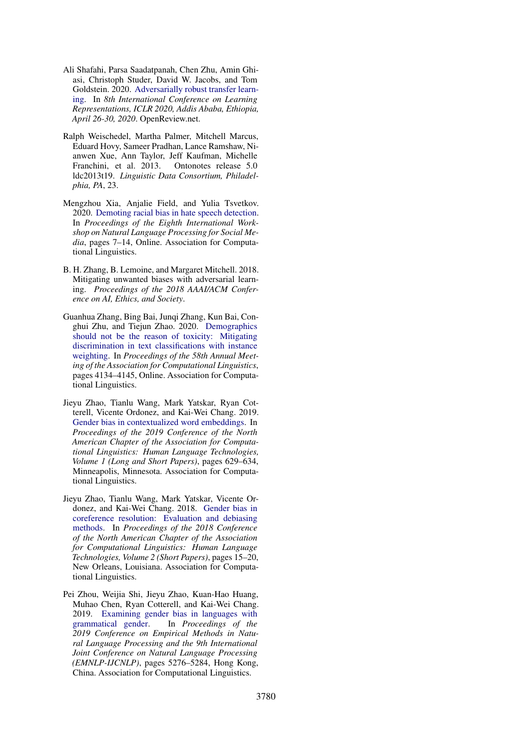- <span id="page-10-7"></span>Ali Shafahi, Parsa Saadatpanah, Chen Zhu, Amin Ghiasi, Christoph Studer, David W. Jacobs, and Tom Goldstein. 2020. [Adversarially robust transfer learn](https://openreview.net/forum?id=ryebG04YvB)[ing.](https://openreview.net/forum?id=ryebG04YvB) In *8th International Conference on Learning Representations, ICLR 2020, Addis Ababa, Ethiopia, April 26-30, 2020*. OpenReview.net.
- <span id="page-10-4"></span>Ralph Weischedel, Martha Palmer, Mitchell Marcus, Eduard Hovy, Sameer Pradhan, Lance Ramshaw, Nianwen Xue, Ann Taylor, Jeff Kaufman, Michelle Franchini, et al. 2013. Ontonotes release 5.0 ldc2013t19. *Linguistic Data Consortium, Philadelphia, PA*, 23.
- <span id="page-10-6"></span>Mengzhou Xia, Anjalie Field, and Yulia Tsvetkov. 2020. [Demoting racial bias in hate speech detection.](https://doi.org/10.18653/v1/2020.socialnlp-1.2) In *Proceedings of the Eighth International Workshop on Natural Language Processing for Social Media*, pages 7–14, Online. Association for Computational Linguistics.
- <span id="page-10-0"></span>B. H. Zhang, B. Lemoine, and Margaret Mitchell. 2018. Mitigating unwanted biases with adversarial learning. *Proceedings of the 2018 AAAI/ACM Conference on AI, Ethics, and Society*.
- <span id="page-10-5"></span>Guanhua Zhang, Bing Bai, Junqi Zhang, Kun Bai, Conghui Zhu, and Tiejun Zhao. 2020. [Demographics](https://doi.org/10.18653/v1/2020.acl-main.380) [should not be the reason of toxicity: Mitigating](https://doi.org/10.18653/v1/2020.acl-main.380) [discrimination in text classifications with instance](https://doi.org/10.18653/v1/2020.acl-main.380) [weighting.](https://doi.org/10.18653/v1/2020.acl-main.380) In *Proceedings of the 58th Annual Meeting of the Association for Computational Linguistics*, pages 4134–4145, Online. Association for Computational Linguistics.
- <span id="page-10-3"></span>Jieyu Zhao, Tianlu Wang, Mark Yatskar, Ryan Cotterell, Vicente Ordonez, and Kai-Wei Chang. 2019. [Gender bias in contextualized word embeddings.](https://doi.org/10.18653/v1/N19-1064) In *Proceedings of the 2019 Conference of the North American Chapter of the Association for Computational Linguistics: Human Language Technologies, Volume 1 (Long and Short Papers)*, pages 629–634, Minneapolis, Minnesota. Association for Computational Linguistics.
- <span id="page-10-1"></span>Jieyu Zhao, Tianlu Wang, Mark Yatskar, Vicente Ordonez, and Kai-Wei Chang. 2018. [Gender bias in](https://doi.org/10.18653/v1/N18-2003) [coreference resolution: Evaluation and debiasing](https://doi.org/10.18653/v1/N18-2003) [methods.](https://doi.org/10.18653/v1/N18-2003) In *Proceedings of the 2018 Conference of the North American Chapter of the Association for Computational Linguistics: Human Language Technologies, Volume 2 (Short Papers)*, pages 15–20, New Orleans, Louisiana. Association for Computational Linguistics.
- <span id="page-10-2"></span>Pei Zhou, Weijia Shi, Jieyu Zhao, Kuan-Hao Huang, Muhao Chen, Ryan Cotterell, and Kai-Wei Chang. 2019. [Examining gender bias in languages with](https://doi.org/10.18653/v1/D19-1531) [grammatical gender.](https://doi.org/10.18653/v1/D19-1531) In *Proceedings of the 2019 Conference on Empirical Methods in Natural Language Processing and the 9th International Joint Conference on Natural Language Processing (EMNLP-IJCNLP)*, pages 5276–5284, Hong Kong, China. Association for Computational Linguistics.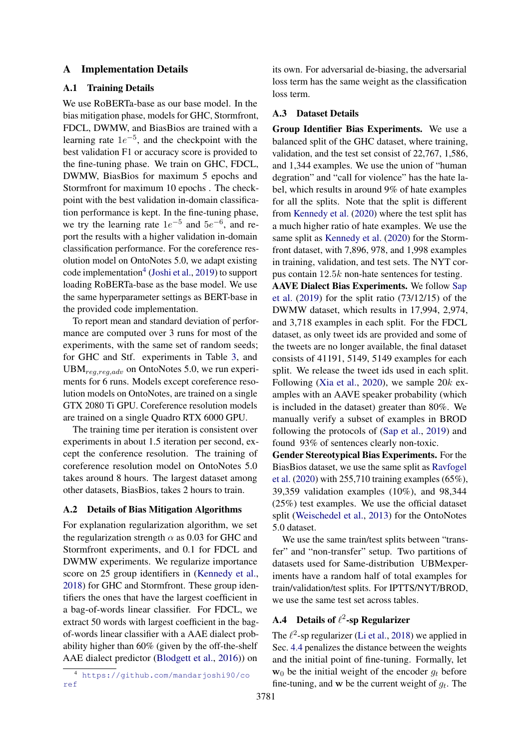## A Implementation Details

## A.1 Training Details

We use RoBERTa-base as our base model. In the bias mitigation phase, models for GHC, Stormfront, FDCL, DWMW, and BiasBios are trained with a learning rate  $1e^{-5}$ , and the checkpoint with the best validation F1 or accuracy score is provided to the fine-tuning phase. We train on GHC, FDCL, DWMW, BiasBios for maximum 5 epochs and Stormfront for maximum 10 epochs . The checkpoint with the best validation in-domain classification performance is kept. In the fine-tuning phase, we try the learning rate  $1e^{-5}$  and  $5e^{-6}$ , and report the results with a higher validation in-domain classification performance. For the coreference resolution model on OntoNotes 5.0, we adapt existing code implementation<sup>[4](#page-11-0)</sup> [\(Joshi et al.,](#page-9-16) [2019\)](#page-9-16) to support loading RoBERTa-base as the base model. We use the same hyperparameter settings as BERT-base in the provided code implementation.

To report mean and standard deviation of performance are computed over 3 runs for most of the experiments, with the same set of random seeds; for GHC and Stf. experiments in Table [3,](#page-5-0) and  $UBM_{req, req, adv}$  on OntoNotes 5.0, we run experiments for 6 runs. Models except coreference resolution models on OntoNotes, are trained on a single GTX 2080 Ti GPU. Coreference resolution models are trained on a single Quadro RTX 6000 GPU.

The training time per iteration is consistent over experiments in about 1.5 iteration per second, except the conference resolution. The training of coreference resolution model on OntoNotes 5.0 takes around 8 hours. The largest dataset among other datasets, BiasBios, takes 2 hours to train.

#### A.2 Details of Bias Mitigation Algorithms

For explanation regularization algorithm, we set the regularization strength  $\alpha$  as 0.03 for GHC and Stormfront experiments, and 0.1 for FDCL and DWMW experiments. We regularize importance score on 25 group identifiers in [\(Kennedy et al.,](#page-9-10) [2018\)](#page-9-10) for GHC and Stormfront. These group identifiers the ones that have the largest coefficient in a bag-of-words linear classifier. For FDCL, we extract 50 words with largest coefficient in the bagof-words linear classifier with a AAE dialect probability higher than 60% (given by the off-the-shelf AAE dialect predictor [\(Blodgett et al.,](#page-8-12) [2016\)](#page-8-12)) on

its own. For adversarial de-biasing, the adversarial loss term has the same weight as the classification loss term.

#### A.3 Dataset Details

Group Identifier Bias Experiments. We use a balanced split of the GHC dataset, where training, validation, and the test set consist of 22,767, 1,586, and 1,344 examples. We use the union of "human degration" and "call for violence" has the hate label, which results in around 9% of hate examples for all the splits. Note that the split is different from [Kennedy et al.](#page-9-1) [\(2020\)](#page-9-1) where the test split has a much higher ratio of hate examples. We use the same split as [Kennedy et al.](#page-9-1) [\(2020\)](#page-9-1) for the Stormfront dataset, with 7,896, 978, and 1,998 examples in training, validation, and test sets. The NYT corpus contain 12.5k non-hate sentences for testing.

AAVE Dialect Bias Experiments. We follow [Sap](#page-9-12) [et al.](#page-9-12) [\(2019\)](#page-9-12) for the split ratio (73/12/15) of the DWMW dataset, which results in 17,994, 2,974, and 3,718 examples in each split. For the FDCL dataset, as only tweet ids are provided and some of the tweets are no longer available, the final dataset consists of 41191, 5149, 5149 examples for each split. We release the tweet ids used in each split. Following [\(Xia et al.,](#page-10-6) [2020\)](#page-10-6), we sample  $20k$  examples with an AAVE speaker probability (which is included in the dataset) greater than 80%. We manually verify a subset of examples in BROD following the protocols of [\(Sap et al.,](#page-9-12) [2019\)](#page-9-12) and found 93% of sentences clearly non-toxic.

Gender Stereotypical Bias Experiments. For the BiasBios dataset, we use the same split as [Ravfogel](#page-9-6) [et al.](#page-9-6) [\(2020\)](#page-9-6) with 255,710 training examples (65%), 39,359 validation examples (10%), and 98,344 (25%) test examples. We use the official dataset split [\(Weischedel et al.,](#page-10-4) [2013\)](#page-10-4) for the OntoNotes 5.0 dataset.

We use the same train/test splits between "transfer" and "non-transfer" setup. Two partitions of datasets used for Same-distribution UBMexperiments have a random half of total examples for train/validation/test splits. For IPTTS/NYT/BROD, we use the same test set across tables.

## A.4 Details of  $\ell^2$ -sp Regularizer

The  $\ell^2$ -sp regularizer [\(Li et al.,](#page-9-13) [2018\)](#page-9-13) we applied in Sec. [4.4](#page-6-2) penalizes the distance between the weights and the initial point of fine-tuning. Formally, let  $w_0$  be the initial weight of the encoder  $q_t$  before fine-tuning, and w be the current weight of  $g_t$ . The

<span id="page-11-0"></span><sup>4</sup> [https://github.com/mandarjoshi90/co](https://github.com/mandarjoshi90/coref) [ref](https://github.com/mandarjoshi90/coref)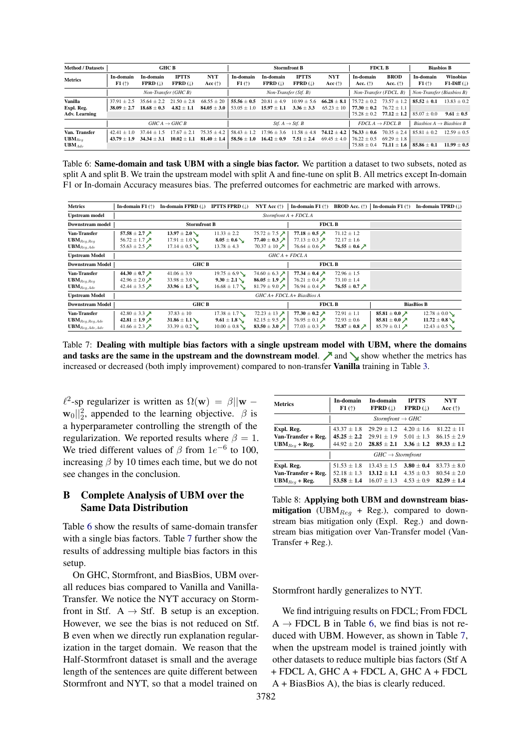<span id="page-12-0"></span>

| <b>Method / Datasets</b>                      | <b>GHC B</b>                   |                                        |                                 | <b>Stormfront B</b>               |                                    |                                            |                                         | <b>FDCL B</b>                    |                                                   | <b>Biasbios B</b>                                   |                                     |                                 |
|-----------------------------------------------|--------------------------------|----------------------------------------|---------------------------------|-----------------------------------|------------------------------------|--------------------------------------------|-----------------------------------------|----------------------------------|---------------------------------------------------|-----------------------------------------------------|-------------------------------------|---------------------------------|
| <b>Metrics</b>                                | In-domain<br>F1(               | In-domain<br>$FPRD$ ( $\downarrow$ )   | <b>IPTTS</b><br>$FPRD$ (1)      | <b>NYT</b><br>Acc $(\uparrow)$    | In-domain<br>F1(                   | In-domain<br>$FPRD$ (1)                    | <b>IPTTS</b><br>$FPRD$ ( $\downarrow$ ) | <b>NYT</b><br>Acc $(\uparrow)$   | In-domain<br>Acc. $(\uparrow)$                    | <b>BROD</b><br>Acc. $(\uparrow)$                    | In-domain<br>F1(                    | <b>Winobias</b><br>$F1-Diff($   |
|                                               | Non-Transfer (GHC B)           |                                        |                                 | Non-Transfer (Stf. B)             |                                    |                                            |                                         |                                  | Non-Transfer (FDCL, B)                            | Non-Transfer (Biasbios B)                           |                                     |                                 |
| Vanilla<br>Expl. Reg.<br><b>Adv. Learning</b> | $37.91 + 2.5$<br>$38.09 + 2.7$ | $35.64 + 2.2$<br>$18.68 + 0.3$         | $21.50 + 2.8$<br>$4.82 + 1.1$   | $68.55 \pm 20$<br>$84.05 \pm 3.0$ | $55.56 \pm 0.5$<br>$53.05 + 1.0$   | $20.81 \pm 4.9$<br>$15.97 \pm 1.1$         | $10.99 \pm 5.6$<br>$3.36 + 3.3$         | $66.28 \pm 8.1$<br>$65.23 + 10$  | $75.72 + 0.2$<br>$77.30 + 0.2$<br>$75.28 \pm 0.2$ | $73.57 \pm 1.2$<br>$76.72 + 1.1$<br>$77.12 \pm 1.2$ | $85.52 + 0.1$<br>$85.07 \pm 0.0$    | $13.83 + 0.2$<br>$9.61 \pm 0.5$ |
|                                               |                                |                                        | $GHCA \rightarrow GHCB$         |                                   |                                    | <i>Stf.</i> $A \rightarrow S$ <i>tf. B</i> |                                         |                                  |                                                   | $FDCLA \rightarrow FDCLB$                           | Biasbios $A \rightarrow$ Biasbios B |                                 |
| Van. Transfer<br>$UBM_{Req}$<br>$UBM_{Adv}$   | $42.41 + 1.0$<br>$43.79 + 1.9$ | 37<br>$.44 + 1$<br>.5<br>$34.34 + 3.1$ | 17.67<br>$+21$<br>$10.02 + 1.1$ | $75.35 + 4.2$<br>$81.40 \pm 1.4$  | $58.43 \pm 1.2$<br>$58.56 \pm 1.0$ | $17.96 \pm 3.6$<br>$16.42 + 0.9$           | $11.58 + 4.8$<br>$7.51 \pm 2.4$         | $74.12 + 4.2$<br>$69.45 \pm 4.0$ | $76.33 + 0.6$<br>$76.22 + 0.5$<br>$75.88 \pm 0.4$ | $70.35 + 2.4$<br>$69.29 + 1.8$<br>$71.11 \pm 1.6$   | $85.81 + 0.2$<br>$85.86 \pm 0.1$    | $12.59 + 0.5$<br>$11.99 + 0.5$  |

Table 6: Same-domain and task UBM with a single bias factor. We partition a dataset to two subsets, noted as split A and split B. We train the upstream model with split A and fine-tune on split B. All metrics except In-domain F1 or In-domain Accuracy measures bias. The preferred outcomes for eachmetric are marked with arrows.

<span id="page-12-1"></span>

| <b>Metrics</b>                 | In-domain $F1$ ( $\uparrow$ )             | In-domain FPRD $(\downarrow)$ | <b>IPTTS FPRD (1)</b> | NYT Acc $(\uparrow)$                   | In-domain F1 $(\uparrow)$           | <b>BROD</b> Acc. $(\uparrow)$             | In-domain F1 $(\uparrow)$             | In-domain TPRD (L) |  |  |  |
|--------------------------------|-------------------------------------------|-------------------------------|-----------------------|----------------------------------------|-------------------------------------|-------------------------------------------|---------------------------------------|--------------------|--|--|--|
| <b>Upstream model</b>          |                                           | $StormfrontA + FDCLA$         |                       |                                        |                                     |                                           |                                       |                    |  |  |  |
| <b>Downstream model</b>        | <b>Stormfront B</b>                       |                               |                       |                                        | <b>FDCL B</b>                       |                                           |                                       |                    |  |  |  |
| Van-Transfer                   | 57.58 $\pm$ 2.7 $\cancel{\pi}$            | $13.97 \pm 2.0$               | $11.33 \pm 2.2$       | $75.72 \pm 7.5$ $\cancel{\phantom{0}}$ | 77.18 $\pm$ 0.5 $\cancel{\sqrt{ }}$ | $71.12 \pm 1.2$                           |                                       |                    |  |  |  |
| $UBM_{Req,Req}$                | 56.72 ± 1.7 $\lambda$                     | $17.91 \pm 1.0$               | $8.05 \pm 0.6$        | 77.40 $\pm$ 0.3 $\cancel{\sqrt{ }}$    | 77.13 $\pm$ 0.3 $\cancel{\pi}$      | $72.17 \pm 1.6$                           |                                       |                    |  |  |  |
| $\mathbf{UBM}_{Reg, Adv}$      | 55.63 $\pm$ 2.5 $\cancel{\pi}$            | $17.14 \pm 0.5$               | $13.78 \pm 4.3$       | 70.37 $\pm$ 10 $\cancel{\prime}$       | 76.64 $\pm$ 0.6 $\cancel{\pi}$      | 76.55 $\pm$ 0.6 $\cancel{\sqrt{ }}$       |                                       |                    |  |  |  |
| <b>Upstream Model</b>          |                                           | $GHCA + FDCLA$                |                       |                                        |                                     |                                           |                                       |                    |  |  |  |
| <b>Downstream Model</b>        | <b>GHC B</b>                              |                               |                       |                                        | <b>FDCL B</b>                       |                                           |                                       |                    |  |  |  |
| Van-Transfer                   | 44.30 $\pm$ 0.7 $\cancel{\pi}$            | $41.06 \pm 3.9$               | $19.75 \pm 6.9$       | 74.60 $\pm$ 6.3 $\cancel{\phantom{1}}$ | 77.34 $\pm$ 0.4 $\cancel{\nearrow}$ | $72.96 \pm 1.5$                           |                                       |                    |  |  |  |
| $\mathbf{UBM}_{Reg,Reg}$       | 42.96 ± 2.0 $\cancel{\pi}$                | $33.98 \pm 3.0$               | $9.30 \pm 2.1$ \      | $86.05 \pm 1.9$ $\lambda$              | 76.21 $\pm$ 0.4 $\cancel{\pi}$      | $73.10 \pm 1.4$                           |                                       |                    |  |  |  |
| $\mathbf{UBM}_{Req, Adv}$      | 42.44 $\pm$ 3.5 $\cancel{\pi}$            | $33.96 \pm 1.5$               | $16.68 \pm 1.7$       | 81.79 ± 9.0 $\cancel{\triangleright}$  | 76.94 $\pm$ 0.4 $\cancel{\pi}$      | 76.55 $\pm$ 0.7 $\cancel{\triangleright}$ |                                       |                    |  |  |  |
| <b>Upstream Model</b>          |                                           |                               |                       | GHC A+ FDCL A+ BiasBios A              |                                     |                                           |                                       |                    |  |  |  |
| <b>Downstream Model</b>        | <b>GHC B</b>                              |                               |                       |                                        | <b>FDCL B</b>                       |                                           | <b>BiasBios B</b>                     |                    |  |  |  |
| Van-Transfer                   | 42.80 $\pm$ 3.3 $\cancel{\phantom{0}}$    | $37.83 \pm 10$                | $17.38 \pm 1.7$       | $72.23 \pm 13$ $\cancel{\phantom{1}}$  | 77.30 $\pm$ 0.2 $\cancel{\sqrt{ }}$ | $72.91 \pm 1.1$                           | 85.81 $\pm$ 0.0 $\cancel{\pi}$        | $12.78 \pm 0.0$    |  |  |  |
| $\mathbf{UBM}_{Reg,Reg,Adv}$   | 42.81 ± 1.9 $\lambda$                     | $31.86 \pm 1.1$               | $9.61 \pm 1.8$        | 82.15 ± 9.5 $\cancel{\pi}$             | 76.95 $\pm$ 0.1 $\cancel{\pi}$      | $72.93 \pm 0.6$                           | 85.81 $\pm$ 0.0 $\cancel{\pi}$        | $11.72 \pm 0.8$    |  |  |  |
| $\mathbf{UBM}_{Reg, Adv, Adv}$ | 41.66 $\pm$ 2.3 $\cancel{\triangleright}$ | $33.39 \pm 0.2$               | $10.00 \pm 0.8$       | 83.50 $\pm$ 3.0 $\cancel{\pi}$         | 77.03 $\pm$ 0.3 $\cancel{\pi}$      | 75.87 $\pm$ 0.8 $\cancel{\sqrt{ }}$       | 85.79 ± 0.1 $\cancel{\triangleright}$ | $12.43 \pm 0.5$    |  |  |  |

Table 7: Dealing with multiple bias factors with a single upstream model with UBM, where the domains and tasks are the same in the upstream and the downstream model.  $\nearrow$  and  $\searrow$  show whether the metrics has increased or decreased (both imply improvement) compared to non-transfer **Vanilla** training in Table [3.](#page-5-0)

 $\ell^2$ -sp regularizer is written as  $\Omega(\mathbf{w}) = \beta ||\mathbf{w} - \mathbf{w}||$  $\mathbf{w}_0 \vert_2^2$ , appended to the learning objective.  $\beta$  is a hyperparameter controlling the strength of the regularization. We reported results where  $\beta = 1$ . We tried different values of  $\beta$  from  $1e^{-6}$  to 100, increasing  $\beta$  by 10 times each time, but we do not see changes in the conclusion.

## B Complete Analysis of UBM over the Same Data Distribution

Table [6](#page-12-0) show the results of same-domain transfer with a single bias factors. Table [7](#page-12-1) further show the results of addressing multiple bias factors in this setup.

On GHC, Stormfront, and BiasBios, UBM overall reduces bias compared to Vanilla and Vanilla-Transfer. We notice the NYT accuracy on Stormfront in Stf.  $A \rightarrow S$ tf. B setup is an exception. However, we see the bias is not reduced on Stf. B even when we directly run explanation regularization in the target domain. We reason that the Half-Stormfront dataset is small and the average length of the sentences are quite different between Stormfront and NYT, so that a model trained on

<span id="page-12-2"></span>

| <b>Metrics</b>      | In-domain<br>F1(f)           | In-domain<br>$FPRD$ ( $\downarrow$ ) | <b>IPTTS</b><br>$FPRD$ ( $\downarrow$ ) | <b>NYT</b><br>Acc $(\uparrow)$ |  |  |  |  |  |  |
|---------------------|------------------------------|--------------------------------------|-----------------------------------------|--------------------------------|--|--|--|--|--|--|
|                     |                              | $Stormfront \rightarrow GHC$         |                                         |                                |  |  |  |  |  |  |
| Expl. Reg.          | $43.37 \pm 1.8$              | $29.29 + 1.2$                        | $4.20 + 1.6$                            | $81.22 \pm 11$                 |  |  |  |  |  |  |
| Van-Transfer + Reg. | $45.25 + 2.2$                | $29.91 \pm 1.9$                      | $5.01 + 1.3$                            | $86.15 \pm 2.9$                |  |  |  |  |  |  |
| $UBM_{Req}$ + Reg.  | $44.92 \pm 2.0$              | $28.85 + 2.1$                        | $3.36 + 1.2$                            | $89.33 + 1.2$                  |  |  |  |  |  |  |
|                     | $GHC \rightarrow Stormfront$ |                                      |                                         |                                |  |  |  |  |  |  |
| Expl. Reg.          | $51.53 \pm 1.8$              | $13.43 \pm 1.5$                      | $3.80 \pm 0.4$                          | $83.73 \pm 8.0$                |  |  |  |  |  |  |
| Van-Transfer + Reg. | $52.18 \pm 1.3$              | $13.12 \pm 1.1$                      | $4.35 + 0.3$                            | $80.54 + 2.0$                  |  |  |  |  |  |  |
| $UBM_{Req}$ + Reg.  | $53.58 \pm 1.4$              | $16.07 + 1.3$                        | $4.53 + 0.9$                            | $82.59 + 1.4$                  |  |  |  |  |  |  |

Table 8: Applying both UBM and downstream bias**mitigation** (UBM<sub>Reg</sub> + Reg.), compared to downstream bias mitigation only (Expl. Reg.) and downstream bias mitigation over Van-Transfer model (Van-Transfer + Reg.).

Stormfront hardly generalizes to NYT.

We find intriguing results on FDCL; From FDCL  $A \rightarrow FDCL$  B in Table [6,](#page-12-0) we find bias is not reduced with UBM. However, as shown in Table [7,](#page-12-1) when the upstream model is trained jointly with other datasets to reduce multiple bias factors (Stf A + FDCL A, GHC A + FDCL A, GHC A + FDCL A + BiasBios A), the bias is clearly reduced.